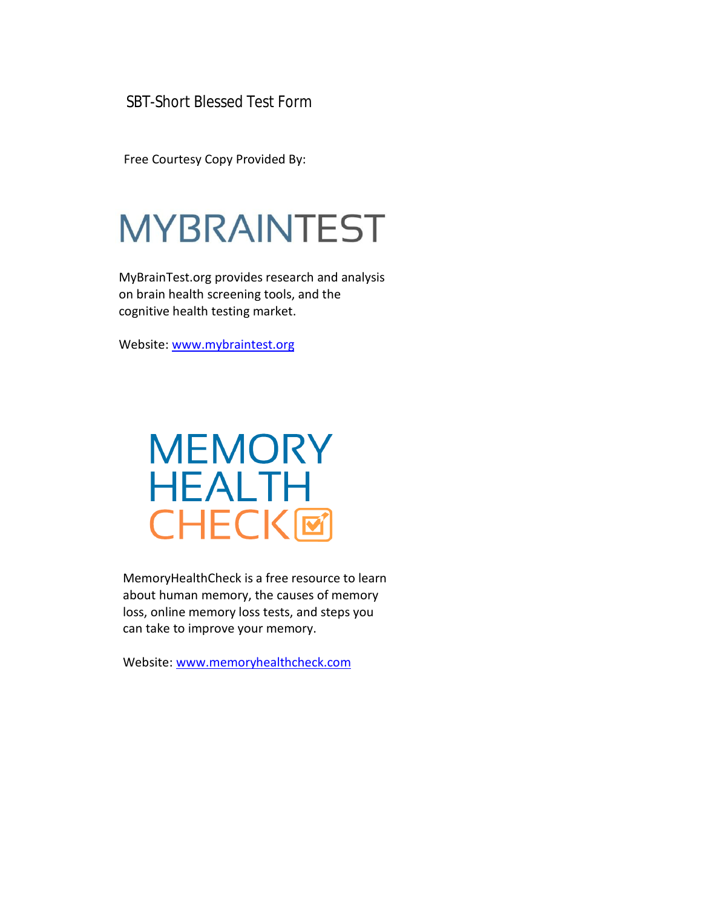SBT-Short Blessed Test Form

Free Courtesy Copy Provided By:

# **MYBRAINTEST**

MyBrainTest.org provides research and analysis on brain health screening tools, and the cognitive health testing market.

Website: [www.mybraintest.org](http://www.mybraintest.org/)

## **MEMORY HEALTH CHECK回**

MemoryHealthCheck is a free resource to learn about human memory, the causes of memory loss, online memory loss tests, and steps you can take to improve your memory.

Website: [www.memoryhealthcheck.com](http://www.memoryhealthcheck.com/)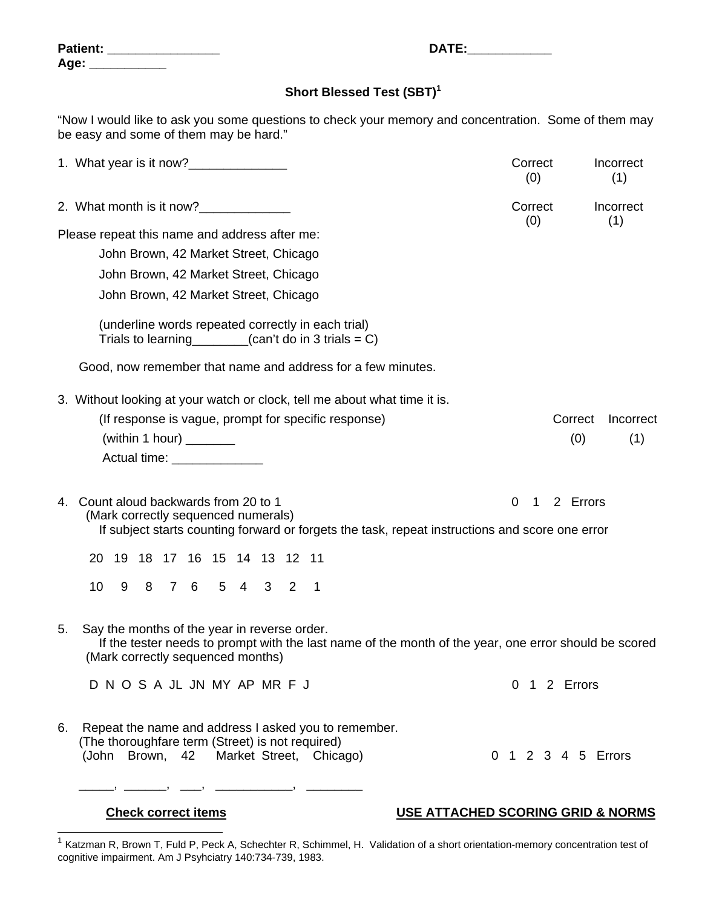| <b>Patient:</b> |  |
|-----------------|--|
| Age:            |  |

#### **Short Blessed Test (SBT)<sup>1</sup>**

**Patient: \_\_\_\_\_\_\_\_\_\_\_\_\_\_\_\_ DATE:\_\_\_\_\_\_\_\_\_\_\_\_** 

"Now I would like to ask you some questions to check your memory and concentration. Some of them may be easy and some of them may be hard."

|    |                                                                                                                                                                                            | Correct<br>(0)     | Incorrect<br>(1) |
|----|--------------------------------------------------------------------------------------------------------------------------------------------------------------------------------------------|--------------------|------------------|
|    | 2. What month is it now?______________                                                                                                                                                     | Correct<br>(0)     | Incorrect<br>(1) |
|    | Please repeat this name and address after me:                                                                                                                                              |                    |                  |
|    | John Brown, 42 Market Street, Chicago                                                                                                                                                      |                    |                  |
|    | John Brown, 42 Market Street, Chicago                                                                                                                                                      |                    |                  |
|    | John Brown, 42 Market Street, Chicago                                                                                                                                                      |                    |                  |
|    | (underline words repeated correctly in each trial)<br>Trials to learning $\qquad \qquad$ (can't do in 3 trials = C)                                                                        |                    |                  |
|    | Good, now remember that name and address for a few minutes.                                                                                                                                |                    |                  |
|    | 3. Without looking at your watch or clock, tell me about what time it is.                                                                                                                  |                    |                  |
|    | (If response is vague, prompt for specific response)                                                                                                                                       | Correct            | Incorrect        |
|    | (within 1 hour) $\frac{1}{\sqrt{1-\frac{1}{2}}\cdot\frac{1}{\sqrt{1-\frac{1}{2}}}}$                                                                                                        |                    | (0)<br>(1)       |
|    | Actual time: _______________                                                                                                                                                               |                    |                  |
|    | 4. Count aloud backwards from 20 to 1<br>(Mark correctly sequenced numerals)<br>If subject starts counting forward or forgets the task, repeat instructions and score one error            | 0<br>1             | 2 Errors         |
|    | 19 18 17 16 15 14 13 12 11<br>20                                                                                                                                                           |                    |                  |
|    | 8 7 6 5 4 3 2<br>10 <sup>1</sup><br>9<br>$\overline{\phantom{0}}$ 1                                                                                                                        |                    |                  |
| 5. | Say the months of the year in reverse order.<br>If the tester needs to prompt with the last name of the month of the year, one error should be scored<br>(Mark correctly sequenced months) |                    |                  |
|    | D N O S A JL JN MY AP MR F J                                                                                                                                                               | 0 1 2 Errors       |                  |
| 6. | Repeat the name and address I asked you to remember.<br>(The thoroughfare term (Street) is not required)<br>(John Brown, 42 Market Street, Chicago)                                        | 0 1 2 3 4 5 Errors |                  |

l

### **Check correct items USE ATTACHED SCORING GRID & NORMS**

 $1$  Katzman R, Brown T, Fuld P, Peck A, Schechter R, Schimmel, H. Validation of a short orientation-memory concentration test of cognitive impairment. Am J Psyhciatry 140:734-739, 1983.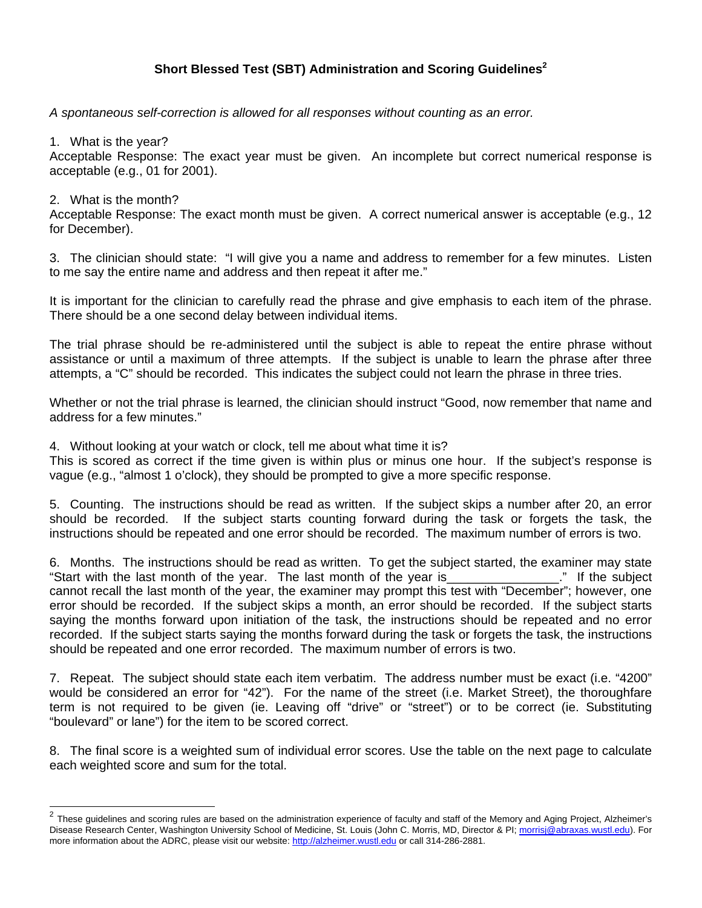#### **Short Blessed Test (SBT) Administration and Scoring Guidelines2**

*A spontaneous self-correction is allowed for all responses without counting as an error.* 

1. What is the year?

Acceptable Response: The exact year must be given. An incomplete but correct numerical response is acceptable (e.g., 01 for 2001).

2. What is the month?

 $\overline{a}$ 

Acceptable Response: The exact month must be given. A correct numerical answer is acceptable (e.g., 12 for December).

3. The clinician should state: "I will give you a name and address to remember for a few minutes. Listen to me say the entire name and address and then repeat it after me."

It is important for the clinician to carefully read the phrase and give emphasis to each item of the phrase. There should be a one second delay between individual items.

The trial phrase should be re-administered until the subject is able to repeat the entire phrase without assistance or until a maximum of three attempts. If the subject is unable to learn the phrase after three attempts, a "C" should be recorded. This indicates the subject could not learn the phrase in three tries.

Whether or not the trial phrase is learned, the clinician should instruct "Good, now remember that name and address for a few minutes."

4. Without looking at your watch or clock, tell me about what time it is?

This is scored as correct if the time given is within plus or minus one hour. If the subject's response is vague (e.g., "almost 1 o'clock), they should be prompted to give a more specific response.

5. Counting. The instructions should be read as written. If the subject skips a number after 20, an error should be recorded. If the subject starts counting forward during the task or forgets the task, the instructions should be repeated and one error should be recorded. The maximum number of errors is two.

6. Months. The instructions should be read as written. To get the subject started, the examiner may state "Start with the last month of the year. The last month of the year is The subject cannot recall the last month of the year, the examiner may prompt this test with "December"; however, one error should be recorded. If the subject skips a month, an error should be recorded. If the subject starts saying the months forward upon initiation of the task, the instructions should be repeated and no error recorded. If the subject starts saying the months forward during the task or forgets the task, the instructions should be repeated and one error recorded. The maximum number of errors is two.

7. Repeat. The subject should state each item verbatim. The address number must be exact (i.e. "4200" would be considered an error for "42"). For the name of the street (i.e. Market Street), the thoroughfare term is not required to be given (ie. Leaving off "drive" or "street") or to be correct (ie. Substituting "boulevard" or lane") for the item to be scored correct.

8. The final score is a weighted sum of individual error scores. Use the table on the next page to calculate each weighted score and sum for the total.

 $^2$  These guidelines and scoring rules are based on the administration experience of faculty and staff of the Memory and Aging Project, Alzheimer's Disease Research Center, Washington University School of Medicine, St. Louis (John C. Morris, MD, Director & PI; morrisj@abraxas.wustl.edu). For more information about the ADRC, please visit our website: http://alzheimer.wustl.edu or call 314-286-2881.